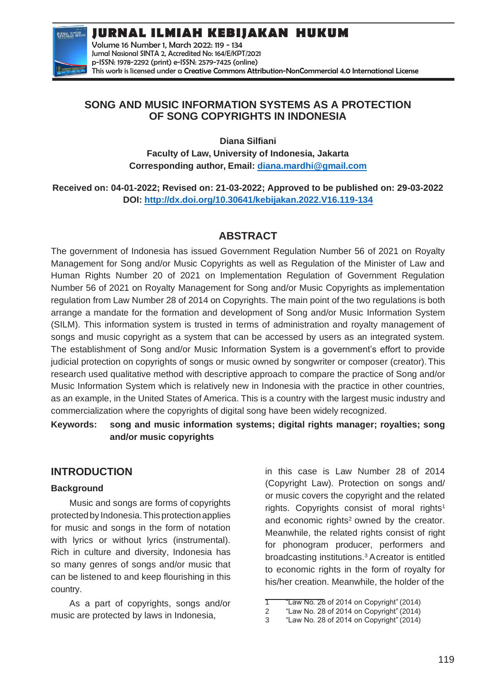**JURNAL ILMIAH KEBIJAKAN HUKUM**



Volume 16 Number 1, March 2022: 119 - 134 Jurnal Nasional SINTA 2, Accredited No: 164/E/KPT/2021 p-ISSN: 1978-2292 (print) e-ISSN: 2579-7425 (online) This work is licensed under a [Creative Commons Attribution-NonCommercial 4.0 International License](https://creativecommons.org/licenses/by-nc/4.0/)

## **SONG AND MUSIC INFORMATION SYSTEMS AS A PROTECTION OF SONG COPYRIGHTS IN INDONESIA**

**Diana Silfiani**

**Faculty of Law, University of Indonesia, Jakarta Corresponding author, Email: [diana.mardhi@gmail.com](mailto:diana.mardhi@gmail.com)**

**Received on: 04-01-2022; Revised on: 21-03-2022; Approved to be published on: 29-03-2022 DOI:<http://dx.doi.org/10.30641/kebijakan.2022.V16.119-134>**

# **ABSTRACT**

The government of Indonesia has issued Government Regulation Number 56 of 2021 on Royalty Management for Song and/or Music Copyrights as well as Regulation of the Minister of Law and Human Rights Number 20 of 2021 on Implementation Regulation of Government Regulation Number 56 of 2021 on Royalty Management for Song and/or Music Copyrights as implementation regulation from Law Number 28 of 2014 on Copyrights. The main point of the two regulations is both arrange a mandate for the formation and development of Song and/or Music Information System (SILM). This information system is trusted in terms of administration and royalty management of songs and music copyright as a system that can be accessed by users as an integrated system. The establishment of Song and/or Music Information System is a government's effort to provide judicial protection on copyrights of songs or music owned by songwriter or composer (creator).This research used qualitative method with descriptive approach to compare the practice of Song and/or Music Information System which is relatively new in Indonesia with the practice in other countries, as an example, in the United States of America. This is a country with the largest music industry and commercialization where the copyrights of digital song have been widely recognized.

**Keywords: song and music information systems; digital rights manager; royalties; song and/or music copyrights**

# **INTRODUCTION**

### **Background**

Music and songs are forms of copyrights protectedby Indonesia.This protection applies for music and songs in the form of notation with lyrics or without lyrics (instrumental). Rich in culture and diversity, Indonesia has so many genres of songs and/or music that can be listened to and keep flourishing in this country.

As a part of copyrights, songs and/or music are protected by laws in Indonesia,

in this case is Law Number 28 of 2014 (Copyright Law). Protection on songs and/ or music covers the copyright and the related rights. Copyrights consist of moral rights<sup>1</sup> and economic rights<sup>2</sup> owned by the creator. Meanwhile, the related rights consist of right for phonogram producer, performers and broadcasting institutions.<sup>3</sup>Acreator is entitled to economic rights in the form of royalty for his/her creation. Meanwhile, the holder of the

<sup>1</sup> "Law No. 28 of 2014 on Copyright" (2014)

<sup>2</sup> "Law No. 28 of 2014 on Copyright" (2014)

<sup>3</sup> "Law No. 28 of 2014 on Copyright" (2014)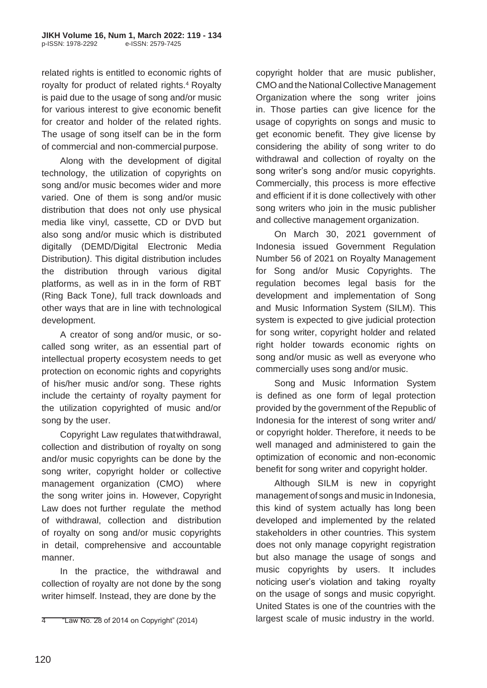related rights is entitled to economic rights of royalty for product of related rights.<sup>4</sup> Royalty is paid due to the usage of song and/or music for various interest to give economic benefit for creator and holder of the related rights. The usage of song itself can be in the form of commercial and non-commercial purpose.

Along with the development of digital technology, the utilization of copyrights on song and/or music becomes wider and more varied. One of them is song and/or music distribution that does not only use physical media like vinyl*,* cassette, CD or DVD but also song and/or music which is distributed digitally (DEMD/Digital Electronic Media Distribution*)*. This digital distribution includes the distribution through various digital platforms, as well as in in the form of RBT (Ring Back Tone*)*, full track downloads and other ways that are in line with technological development.

A creator of song and/or music, or socalled song writer, as an essential part of intellectual property ecosystem needs to get protection on economic rights and copyrights of his/her music and/or song. These rights include the certainty of royalty payment for the utilization copyrighted of music and/or song by the user.

Copyright Law regulates thatwithdrawal, collection and distribution of royalty on song and/or music copyrights can be done by the song writer, copyright holder or collective management organization (CMO) where the song writer joins in. However, Copyright Law does not further regulate the method of withdrawal, collection and distribution of royalty on song and/or music copyrights in detail, comprehensive and accountable manner.

In the practice, the withdrawal and collection of royalty are not done by the song writer himself. Instead, they are done by the

copyright holder that are music publisher, CMOand the National Collective Management Organization where the song writer joins in. Those parties can give licence for the usage of copyrights on songs and music to get economic benefit. They give license by considering the ability of song writer to do withdrawal and collection of royalty on the song writer's song and/or music copyrights. Commercially, this process is more effective and efficient if it is done collectively with other song writers who join in the music publisher and collective management organization.

On March 30, 2021 government of Indonesia issued Government Regulation Number 56 of 2021 on Royalty Management for Song and/or Music Copyrights. The regulation becomes legal basis for the development and implementation of Song and Music Information System (SILM). This system is expected to give judicial protection for song writer, copyright holder and related right holder towards economic rights on song and/or music as well as everyone who commercially uses song and/or music.

Song and Music Information System is defined as one form of legal protection provided by the government of the Republic of Indonesia for the interest of song writer and/ or copyright holder. Therefore, it needs to be well managed and administered to gain the optimization of economic and non-economic benefit for song writer and copyright holder.

Although SILM is new in copyright management of songs and music in Indonesia, this kind of system actually has long been developed and implemented by the related stakeholders in other countries. This system does not only manage copyright registration but also manage the usage of songs and music copyrights by users. It includes noticing user's violation and taking royalty on the usage of songs and music copyright. United States is one of the countries with the largest scale of music industry in the world.

<sup>4</sup> "Law No. 28 of 2014 on Copyright" (2014)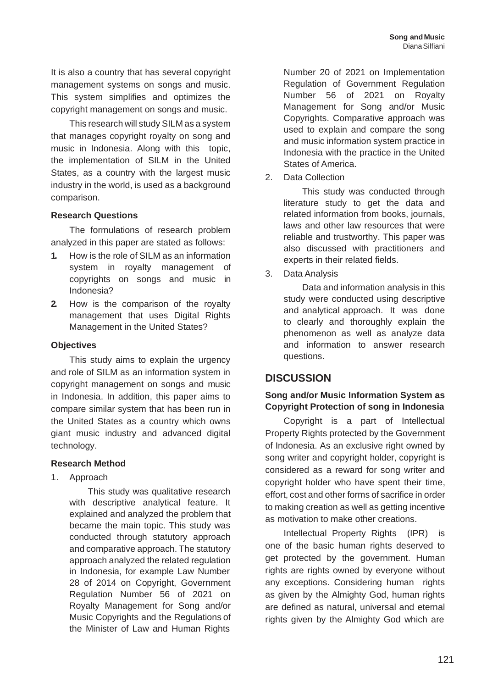It is also a country that has several copyright management systems on songs and music. This system simplifies and optimizes the copyright management on songs and music.

This research will study SILM as a system that manages copyright royalty on song and music in Indonesia. Along with this topic, the implementation of SILM in the United States, as a country with the largest music industry in the world, is used as a background comparison.

#### **Research Questions**

The formulations of research problem analyzed in this paper are stated as follows:

- **1.** How is the role of SILM as an information system in royalty management of copyrights on songs and music in Indonesia?
- **2.** How is the comparison of the royalty management that uses Digital Rights Management in the United States?

#### **Objectives**

This study aims to explain the urgency and role of SILM as an information system in copyright management on songs and music in Indonesia. In addition, this paper aims to compare similar system that has been run in the United States as a country which owns giant music industry and advanced digital technology.

#### **Research Method**

1. Approach

This study was qualitative research with descriptive analytical feature. It explained and analyzed the problem that became the main topic. This study was conducted through statutory approach and comparative approach. The statutory approach analyzed the related regulation in Indonesia, for example Law Number 28 of 2014 on Copyright, Government Regulation Number 56 of 2021 on Royalty Management for Song and/or Music Copyrights and the Regulations of the Minister of Law and Human Rights

Number 20 of 2021 on Implementation Regulation of Government Regulation Number 56 of 2021 on Royalty Management for Song and/or Music Copyrights. Comparative approach was used to explain and compare the song and music information system practice in Indonesia with the practice in the United States of America.

2. Data Collection

This study was conducted through literature study to get the data and related information from books, journals, laws and other law resources that were reliable and trustworthy. This paper was also discussed with practitioners and experts in their related fields.

3. Data Analysis

Data and information analysis in this study were conducted using descriptive and analytical approach. It was done to clearly and thoroughly explain the phenomenon as well as analyze data and information to answer research questions.

## **DISCUSSION**

### **Song and/or Music Information System as Copyright Protection of song in Indonesia**

Copyright is a part of Intellectual Property Rights protected by the Government of Indonesia. As an exclusive right owned by song writer and copyright holder, copyright is considered as a reward for song writer and copyright holder who have spent their time, effort, cost and other forms of sacrifice in order to making creation as well as getting incentive as motivation to make other creations.

Intellectual Property Rights (IPR) is one of the basic human rights deserved to get protected by the government. Human rights are rights owned by everyone without any exceptions. Considering human rights as given by the Almighty God, human rights are defined as natural, universal and eternal rights given by the Almighty God which are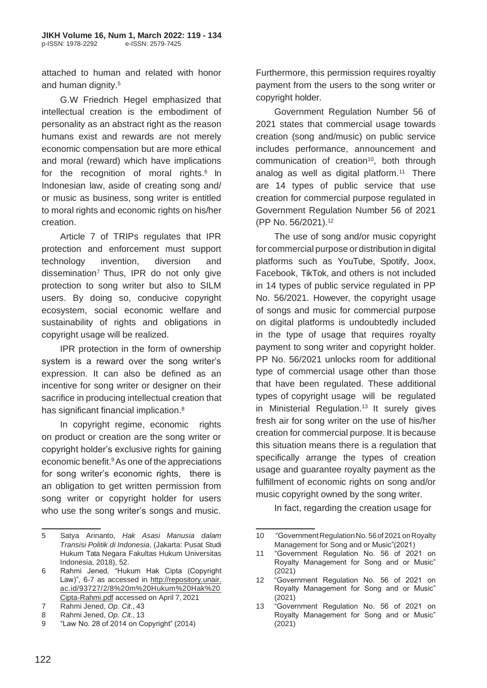attached to human and related with honor and human dignity.<sup>5</sup>

G.W Friedrich Hegel emphasized that intellectual creation is the embodiment of personality as an abstract right as the reason humans exist and rewards are not merely economic compensation but are more ethical and moral (reward) which have implications for the recognition of moral rights. $6$  In Indonesian law, aside of creating song and/ or music as business, song writer is entitled to moral rights and economic rights on his/her creation.

Article 7 of TRIPs regulates that IPR protection and enforcement must support technology invention, diversion and  $dissemination<sup>7</sup>$  Thus, IPR do not only give protection to song writer but also to SILM users. By doing so, conducive copyright ecosystem, social economic welfare and sustainability of rights and obligations in copyright usage will be realized.

IPR protection in the form of ownership system is a reward over the song writer's expression. It can also be defined as an incentive for song writer or designer on their sacrifice in producing intellectual creation that has significant financial implication.<sup>8</sup>

In copyright regime, economic rights on product or creation are the song writer or copyright holder's exclusive rights for gaining economic benefit.<sup>9</sup>As one of the appreciations for song writer's economic rights, there is an obligation to get written permission from song writer or copyright holder for users who use the song writer's songs and music.

Furthermore, this permission requires royaltiy payment from the users to the song writer or copyright holder.

Government Regulation Number 56 of 2021 states that commercial usage towards creation (song and/music) on public service includes performance, announcement and communication of creation<sup>10</sup>, both through analog as well as digital platform. $11$  There are 14 types of public service that use creation for commercial purpose regulated in Government Regulation Number 56 of 2021 (PP No. 56/2021).<sup>12</sup>

The use of song and/or music copyright for commercial purpose or distribution in digital platforms such as YouTube, Spotify, Joox, Facebook, TikTok, and others is not included in 14 types of public service regulated in PP No. 56/2021. However, the copyright usage of songs and music for commercial purpose on digital platforms is undoubtedly included in the type of usage that requires royalty payment to song writer and copyright holder. PP No. 56/2021 unlocks room for additional type of commercial usage other than those that have been regulated. These additional types of copyright usage will be regulated in Ministerial Regulation.<sup>13</sup> It surely gives fresh air for song writer on the use of his/her creation for commercial purpose. It is because this situation means there is a regulation that specifically arrange the types of creation usage and guarantee royalty payment as the fulfillment of economic rights on song and/or music copyright owned by the song writer.

In fact, regarding the creation usage for

<sup>5</sup> Satya Arinanto, *Hak Asasi Manusia dalam Transisi Politik di Indonesia*, (Jakarta: Pusat Studi Hukum Tata Negara Fakultas Hukum Universitas Indonesia, 2018), 52.

<sup>6</sup> Rahmi Jened, "Hukum Hak Cipta (Copyright Law)", 6-7 as accessed in [http://repository.unair.](http://repository.unair/) ac.id/93727/2/8%20m%20Hukum%20Hak%20 Cipta-Rahmi.pdf accessed on April 7, 2021

<sup>7</sup> Rahmi Jened, *Op. Cit.*, 43

<sup>8</sup> Rahmi Jened, *Op. Cit.*, 13

<sup>9</sup> "Law No. 28 of 2014 on Copyright" (2014)

<sup>10</sup> "GovernmentRegulationNo. 56of 2021 onRoyalty Management for Song and or Music"(2021)

<sup>11</sup> "Government Regulation No. 56 of 2021 on Royalty Management for Song and or Music" (2021)

<sup>12</sup> "Government Regulation No. 56 of 2021 on Royalty Management for Song and or Music" (2021)

<sup>13</sup> "Government Regulation No. 56 of 2021 on Royalty Management for Song and or Music" (2021)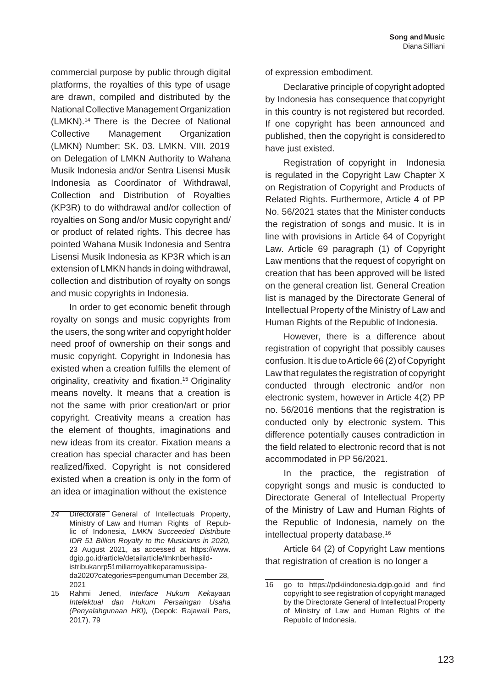commercial purpose by public through digital platforms, the royalties of this type of usage are drawn, compiled and distributed by the National Collective Management Organization (LMKN).<sup>14</sup> There is the Decree of National Collective Management Organization (LMKN) Number: SK. 03. LMKN. VIII. 2019 on Delegation of LMKN Authority to Wahana Musik Indonesia and/or Sentra Lisensi Musik Indonesia as Coordinator of Withdrawal, Collection and Distribution of Royalties (KP3R) to do withdrawal and/or collection of royalties on Song and/or Music copyright and/ or product of related rights. This decree has pointed Wahana Musik Indonesia and Sentra Lisensi Musik Indonesia as KP3R which is an extension of LMKN hands in doing withdrawal, collection and distribution of royalty on songs and music copyrights in Indonesia.

In order to get economic benefit through royalty on songs and music copyrights from the users, the song writer and copyright holder need proof of ownership on their songs and music copyright. Copyright in Indonesia has existed when a creation fulfills the element of originality, creativity and fixation.<sup>15</sup> Originality means novelty. It means that a creation is not the same with prior creation/art or prior copyright. Creativity means a creation has the element of thoughts, imaginations and new ideas from its creator. Fixation means a creation has special character and has been realized/fixed. Copyright is not considered existed when a creation is only in the form of an idea or imagination without the existence

of expression embodiment.

Declarative principle of copyright adopted by Indonesia has consequence that copyright in this country is not registered but recorded. If one copyright has been announced and published, then the copyright is considered to have just existed.

Registration of copyright in Indonesia is regulated in the Copyright Law Chapter X on Registration of Copyright and Products of Related Rights. Furthermore, Article 4 of PP No. 56/2021 states that the Minister conducts the registration of songs and music. It is in line with provisions in Article 64 of Copyright Law. Article 69 paragraph (1) of Copyright Law mentions that the request of copyright on creation that has been approved will be listed on the general creation list. General Creation list is managed by the Directorate General of Intellectual Property of the Ministry of Law and Human Rights of the Republic of Indonesia.

However, there is a difference about registration of copyright that possibly causes confusion. It is due toArticle 66 (2) of Copyright Law that regulates the registration of copyright conducted through electronic and/or non electronic system, however in Article 4(2) PP no. 56/2016 mentions that the registration is conducted only by electronic system. This difference potentially causes contradiction in the field related to electronic record that is not accommodated in PP 56/2021.

In the practice, the registration of copyright songs and music is conducted to Directorate General of Intellectual Property of the Ministry of Law and Human Rights of the Republic of Indonesia, namely on the intellectual property database.<sup>16</sup>

Article 64 (2) of Copyright Law mentions that registration of creation is no longer a

*<sup>14</sup>* Directorate General of Intellectuals Property, Ministry of Law and Human Rights of Republic of Indonesia, *LMKN Succeeded Distribute IDR 51 Billion Royalty to the Musicians in 2020,* 23 August 2021, as accessed at [https://www.](http://www/) dgip.go.id/article/detailarticle/lmknberhasildistribukanrp51miliarroyaltikeparamusisipada2020?categories=pengumuman December 28, 2021

<sup>15</sup> Rahmi Jened, *Interface Hukum Kekayaan Intelektual dan Hukum Persaingan Usaha (Penyalahgunaan HKI),* (Depok: Rajawali Pers, 2017), 79

<sup>16</sup> go to https://pdkiindonesia.dgip.go.id and find copyright to see registration of copyright managed by the Directorate General of Intellectual Property of Ministry of Law and Human Rights of the Republic of Indonesia.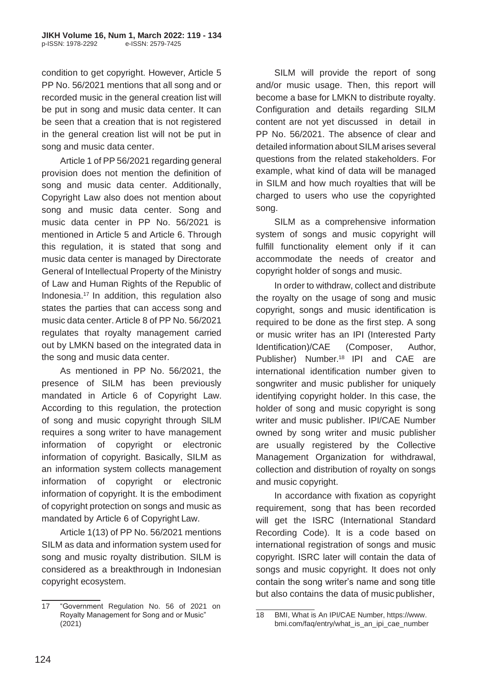condition to get copyright. However, Article 5 PP No. 56/2021 mentions that all song and or recorded music in the general creation list will be put in song and music data center. It can be seen that a creation that is not registered in the general creation list will not be put in song and music data center.

Article 1 of PP 56/2021 regarding general provision does not mention the definition of song and music data center. Additionally, Copyright Law also does not mention about song and music data center. Song and music data center in PP No. 56/2021 is mentioned in Article 5 and Article 6. Through this regulation, it is stated that song and music data center is managed by Directorate General of Intellectual Property of the Ministry of Law and Human Rights of the Republic of Indonesia.<sup>17</sup> In addition, this regulation also states the parties that can access song and music data center.Article 8 of PP No. 56/2021 regulates that royalty management carried out by LMKN based on the integrated data in the song and music data center.

As mentioned in PP No. 56/2021, the presence of SILM has been previously mandated in Article 6 of Copyright Law. According to this regulation, the protection of song and music copyright through SILM requires a song writer to have management information of copyright or electronic information of copyright. Basically, SILM as an information system collects management information of copyright or electronic information of copyright. It is the embodiment of copyright protection on songs and music as mandated by Article 6 of Copyright Law.

Article 1(13) of PP No. 56/2021 mentions SILM as data and information system used for song and music royalty distribution. SILM is considered as a breakthrough in Indonesian copyright ecosystem.

SILM will provide the report of song and/or music usage. Then, this report will become a base for LMKN to distribute royalty. Configuration and details regarding SILM content are not yet discussed in detail in PP No. 56/2021. The absence of clear and detailed information about SILM arises several questions from the related stakeholders. For example, what kind of data will be managed in SILM and how much royalties that will be charged to users who use the copyrighted song.

SILM as a comprehensive information system of songs and music copyright will fulfill functionality element only if it can accommodate the needs of creator and copyright holder of songs and music.

In order to withdraw, collect and distribute the royalty on the usage of song and music copyright, songs and music identification is required to be done as the first step. A song or music writer has an IPI (Interested Party Identification)/CAE (Composer, Author, Publisher) Number.<sup>18</sup> IPI and CAE are international identification number given to songwriter and music publisher for uniquely identifying copyright holder. In this case, the holder of song and music copyright is song writer and music publisher. IPI/CAE Number owned by song writer and music publisher are usually registered by the Collective Management Organization for withdrawal, collection and distribution of royalty on songs and music copyright.

In accordance with fixation as copyright requirement, song that has been recorded will get the ISRC (International Standard Recording Code). It is a code based on international registration of songs and music copyright. ISRC later will contain the data of songs and music copyright. It does not only contain the song writer's name and song title but also contains the data of music publisher,

<sup>17</sup> "Government Regulation No. 56 of 2021 on Royalty Management for Song and or Music" (2021)

<sup>18</sup> BMI, What is An IPI/CAE Number[, https://www.](http://www/) bmi.com/faq/entry/what\_is\_an\_ipi\_cae\_number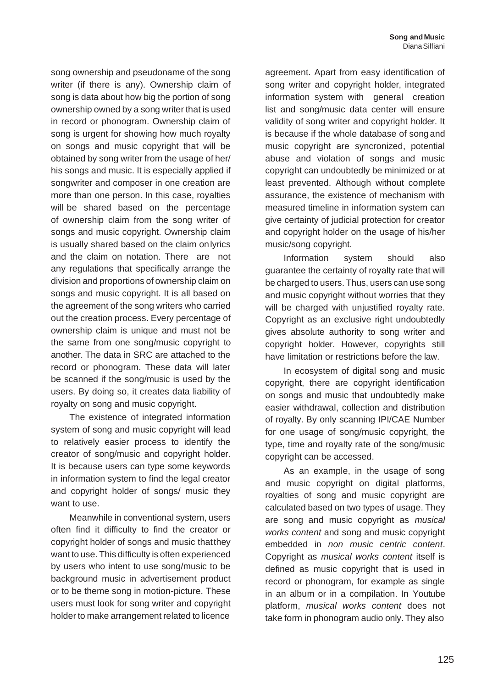song ownership and pseudoname of the song writer (if there is any). Ownership claim of song is data about how big the portion of song ownership owned by a song writer that is used in record or phonogram. Ownership claim of song is urgent for showing how much royalty on songs and music copyright that will be obtained by song writer from the usage of her/ his songs and music. It is especially applied if songwriter and composer in one creation are more than one person. In this case, royalties will be shared based on the percentage of ownership claim from the song writer of songs and music copyright. Ownership claim is usually shared based on the claim onlyrics and the claim on notation. There are not any regulations that specifically arrange the division and proportions of ownership claim on songs and music copyright. It is all based on the agreement of the song writers who carried out the creation process. Every percentage of ownership claim is unique and must not be the same from one song/music copyright to another. The data in SRC are attached to the record or phonogram. These data will later be scanned if the song/music is used by the users. By doing so, it creates data liability of royalty on song and music copyright.

The existence of integrated information system of song and music copyright will lead to relatively easier process to identify the creator of song/music and copyright holder. It is because users can type some keywords in information system to find the legal creator and copyright holder of songs/ music they want to use.

Meanwhile in conventional system, users often find it difficulty to find the creator or copyright holder of songs and music thatthey want to use. This difficulty is often experienced by users who intent to use song/music to be background music in advertisement product or to be theme song in motion-picture. These users must look for song writer and copyright holder to make arrangement related to licence

agreement. Apart from easy identification of song writer and copyright holder, integrated information system with general creation list and song/music data center will ensure validity of song writer and copyright holder. It is because if the whole database of song and music copyright are syncronized, potential abuse and violation of songs and music copyright can undoubtedly be minimized or at least prevented. Although without complete assurance, the existence of mechanism with measured timeline in information system can give certainty of judicial protection for creator and copyright holder on the usage of his/her music/song copyright.

Information system should also guarantee the certainty of royalty rate that will be charged to users. Thus, users can use song and music copyright without worries that they will be charged with unjustified royalty rate. Copyright as an exclusive right undoubtedly gives absolute authority to song writer and copyright holder. However, copyrights still have limitation or restrictions before the law.

In ecosystem of digital song and music copyright, there are copyright identification on songs and music that undoubtedly make easier withdrawal, collection and distribution of royalty. By only scanning IPI/CAE Number for one usage of song/music copyright, the type, time and royalty rate of the song/music copyright can be accessed.

As an example, in the usage of song and music copyright on digital platforms, royalties of song and music copyright are calculated based on two types of usage. They are song and music copyright as *musical works content* and song and music copyright embedded in *non music centric content*. Copyright as *musical works content* itself is defined as music copyright that is used in record or phonogram, for example as single in an album or in a compilation. In Youtube platform, *musical works content* does not take form in phonogram audio only. They also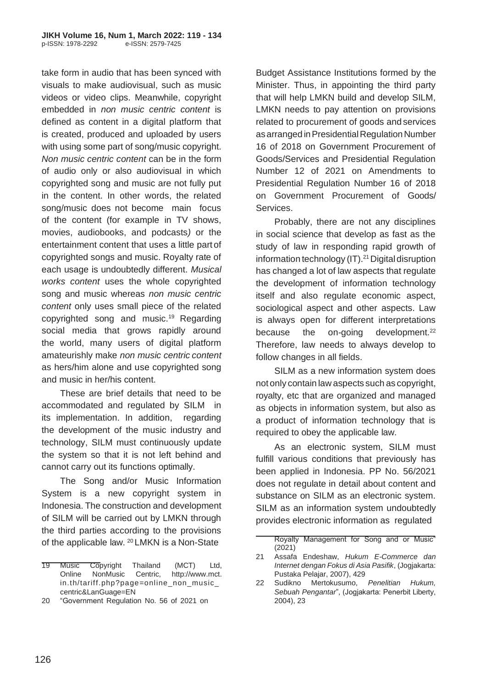take form in audio that has been synced with visuals to make audiovisual, such as music videos or video clips. Meanwhile, copyright embedded in *non music centric content* is defined as content in a digital platform that is created, produced and uploaded by users with using some part of song/music copyright. *Non music centric content* can be in the form of audio only or also audiovisual in which copyrighted song and music are not fully put in the content. In other words, the related song/music does not become main focus of the content (for example in TV shows, movies, audiobooks, and podcasts*)* or the entertainment content that uses a little part of copyrighted songs and music. Royalty rate of each usage is undoubtedly different. *Musical works content* uses the whole copyrighted song and music whereas *non music centric content* only uses small piece of the related copyrighted song and music.<sup>19</sup> Regarding social media that grows rapidly around the world, many users of digital platform amateurishly make *non music centric content*  as hers/him alone and use copyrighted song and music in her/his content.

These are brief details that need to be accommodated and regulated by SILM in its implementation. In addition, regarding the development of the music industry and technology, SILM must continuously update the system so that it is not left behind and cannot carry out its functions optimally.

The Song and/or Music Information System is a new copyright system in Indonesia. The construction and development of SILM will be carried out by LMKN through the third parties according to the provisions of the applicable law. <sup>20</sup> LMKN is a Non-State

Budget Assistance Institutions formed by the Minister. Thus, in appointing the third party that will help LMKN build and develop SILM, LMKN needs to pay attention on provisions related to procurement of goods and services as arranged in Presidential Regulation Number 16 of 2018 on Government Procurement of Goods/Services and Presidential Regulation Number 12 of 2021 on Amendments to Presidential Regulation Number 16 of 2018 on Government Procurement of Goods/ Services.

Probably, there are not any disciplines in social science that develop as fast as the study of law in responding rapid growth of information technology (IT).<sup>21</sup> Digital disruption has changed a lot of law aspects that regulate the development of information technology itself and also regulate economic aspect, sociological aspect and other aspects. Law is always open for different interpretations because the on-going development.<sup>22</sup> Therefore, law needs to always develop to follow changes in all fields.

SILM as a new information system does not only contain law aspects such as copyright, royalty, etc that are organized and managed as objects in information system, but also as a product of information technology that is required to obey the applicable law.

As an electronic system, SILM must fulfill various conditions that previously has been applied in Indonesia. PP No. 56/2021 does not regulate in detail about content and substance on SILM as an electronic system. SILM as an information system undoubtedly provides electronic information as regulated

<sup>19</sup> Music Copyright Thailand (MCT) Ltd, Online NonMusic Centric, http://www.mct. in.th/tariff.php?page=online\_non\_music\_ centric&LanGuage=EN

<sup>20</sup> "Government Regulation No. 56 of 2021 on

Royalty Management for Song and or Music" (2021)

<sup>21</sup> Assafa Endeshaw, *Hukum E-Commerce dan Internet dengan Fokus di Asia Pasifik*, (Jogjakarta: Pustaka Pelajar, 2007), 429

<sup>22</sup> Sudikno Mertokusumo, *Penelitian Hukum, Sebuah Pengantar*", (Jogjakarta: Penerbit Liberty, 2004), 23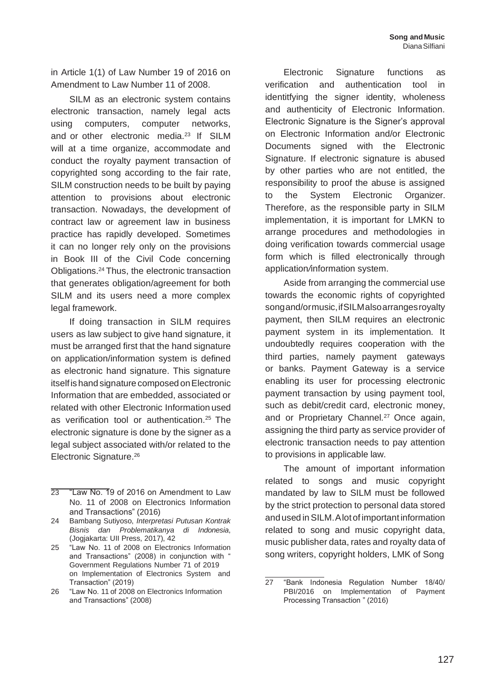in Article 1(1) of Law Number 19 of 2016 on Amendment to Law Number 11 of 2008.

SILM as an electronic system contains electronic transaction, namely legal acts using computers, computer networks, and or other electronic media.<sup>23</sup> If SILM will at a time organize, accommodate and conduct the royalty payment transaction of copyrighted song according to the fair rate, SILM construction needs to be built by paying attention to provisions about electronic transaction. Nowadays, the development of contract law or agreement law in business practice has rapidly developed. Sometimes it can no longer rely only on the provisions in Book III of the Civil Code concerning Obligations.<sup>24</sup>Thus, the electronic transaction that generates obligation/agreement for both SILM and its users need a more complex legal framework.

If doing transaction in SILM requires users as law subject to give hand signature, it must be arranged first that the hand signature on application/information system is defined as electronic hand signature. This signature itself is hand signature composed on Electronic Information that are embedded, associated or related with other Electronic Information used as verification tool or authentication.<sup>25</sup> The electronic signature is done by the signer as a legal subject associated with/or related to the Electronic Signature.<sup>26</sup>

- 23 "Law No. 19 of 2016 on Amendment to Law No. 11 of 2008 on Electronics Information and Transactions" (2016)
- 24 Bambang Sutiyoso, *Interpretasi Putusan Kontrak Bisnis dan Problematikanya di Indonesia*, (Jogjakarta: UII Press, 2017), 42
- 25 "Law No. 11 of 2008 on Electronics Information and Transactions" (2008) in conjunction with " Government Regulations Number 71 of 2019 on Implementation of Electronics System and Transaction" (2019)
- 26 "Law No. 11 of 2008 on Electronics Information and Transactions" (2008)

Electronic Signature functions as verification and authentication tool in identitfying the signer identity, wholeness and authenticity of Electronic Information. Electronic Signature is the Signer's approval on Electronic Information and/or Electronic Documents signed with the Electronic Signature. If electronic signature is abused by other parties who are not entitled, the responsibility to proof the abuse is assigned to the System Electronic Organizer. Therefore, as the responsible party in SILM implementation, it is important for LMKN to arrange procedures and methodologies in doing verification towards commercial usage form which is filled electronically through application*/*information system.

Aside from arranging the commercial use towards the economic rights of copyrighted songand/ormusic,ifSILMalsoarrangesroyalty payment, then SILM requires an electronic payment system in its implementation. It undoubtedly requires cooperation with the third parties, namely payment gateways or banks. Payment Gateway is a service enabling its user for processing electronic payment transaction by using payment tool, such as debit/credit card, electronic money, and or Proprietary Channel.<sup>27</sup> Once again, assigning the third party as service provider of electronic transaction needs to pay attention to provisions in applicable law.

The amount of important information related to songs and music copyright mandated by law to SILM must be followed by the strict protection to personal data stored andused inSILM.Alot of important information related to song and music copyright data, music publisher data, rates and royalty data of song writers, copyright holders, LMK of Song

<sup>27</sup> "Bank Indonesia Regulation Number 18/40/ PBI/2016 on Implementation of Payment Processing Transaction " (2016)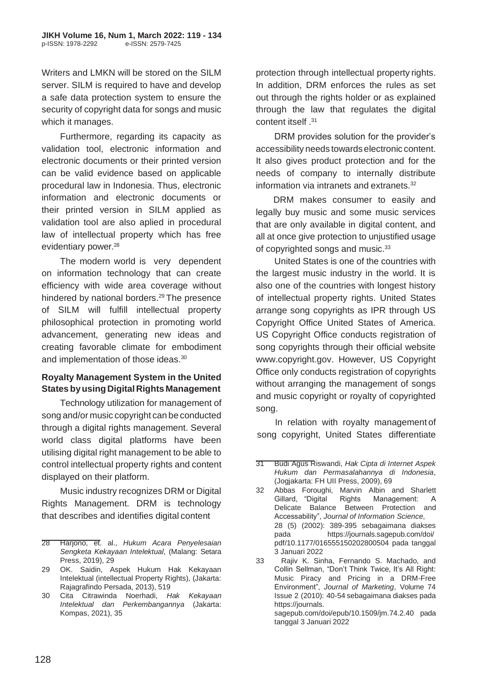Writers and LMKN will be stored on the SILM server. SILM is required to have and develop a safe data protection system to ensure the security of copyright data for songs and music which it manages.

Furthermore, regarding its capacity as validation tool, electronic information and electronic documents or their printed version can be valid evidence based on applicable procedural law in Indonesia. Thus, electronic information and electronic documents or their printed version in SILM applied as validation tool are also aplied in procedural law of intellectual property which has free evidentiary power.<sup>28</sup>

The modern world is very dependent on information technology that can create efficiency with wide area coverage without hindered by national borders.<sup>29</sup> The presence of SILM will fulfill intellectual property philosophical protection in promoting world advancement, generating new ideas and creating favorable climate for embodiment and implementation of those ideas.<sup>30</sup>

### **Royalty Management System in the United States by using Digital Rights Management**

Technology utilization for management of song and/or music copyright can be conducted through a digital rights management. Several world class digital platforms have been utilising digital right management to be able to control intellectual property rights and content displayed on their platform.

Music industry recognizes DRM or Digital Rights Management. DRM is technology that describes and identifies digital content

protection through intellectual property rights. In addition, DRM enforces the rules as set out through the rights holder or as explained through the law that regulates the digital <sup>31</sup>. content itself

DRM provides solution for the provider's accessibility needs towards electronic content. It also gives product protection and for the needs of company to internally distribute information via intranets and extranets.<sup>32</sup>

DRM makes consumer to easily and legally buy music and some music services that are only available in digital content, and all at once give protection to unjustified usage of copyrighted songs and music.<sup>33</sup>

United States is one of the countries with the largest music industry in the world. It is also one of the countries with longest history of intellectual property rights. United States arrange song copyrights as IPR through US Copyright Office United States of America. US Copyright Office conducts registration of song copyrights through their official website [www.copyright.gov.](http://www.copyright.gov/) However, US Copyright Office only conducts registration of copyrights without arranging the management of songs and music copyright or royalty of copyrighted song.

In relation with royalty management of song copyright, United States differentiate

<sup>28</sup> Harjono, et. al., *Hukum Acara Penyelesaian Sengketa Kekayaan Intelektual*, (Malang: Setara Press, 2019), 29

<sup>29</sup> OK. Saidin, Aspek Hukum Hak Kekayaan Intelektual (intellectual Property Rights), (Jakarta: Rajagrafindo Persada, 2013), 519

<sup>30</sup> Cita Citrawinda Noerhadi, *Hak Kekayaan Intelektual dan Perkembangannya* (Jakarta: Kompas, 2021), 35

<sup>31</sup> Budi Agus Riswandi, *Hak Cipta di Internet Aspek Hukum dan Permasalahannya di Indonesia*, (Jogjakarta: FH UII Press, 2009), 69

<sup>32</sup> Abbas Foroughi, Marvin Albin and Sharlett Gillard, "Digital Rights Management: A Delicate Balance Between Protection and Accessability", *Journal of Information Science*, 28 (5) (2002): 389-395 sebagaimana diakses pada https://journals.sagepub.com/doi/ pdf/10.1177/016555150202800504 pada tanggal 3 Januari 2022

<sup>33</sup> Rajiv K. Sinha, Fernando S. Machado, and Collin Sellman, "Don't Think Twice, It's All Right: Music Piracy and Pricing in a DRM-Free Environment", *Journal of Marketing*, Volume 74 Issue 2 (2010): 40-54 sebagaimana diakses pada https://journals. sagepub.com/doi/epub/10.1509/jm.74.2.40 pada tanggal 3 Januari 2022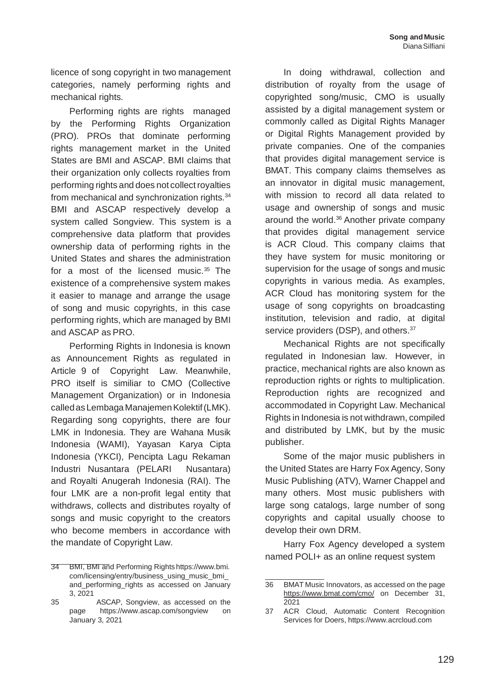licence of song copyright in two management categories, namely performing rights and mechanical rights*.*

Performing rights are rights managed by the Performing Rights Organization (PRO). PROs that dominate performing rights management market in the United States are BMI and ASCAP. BMI claims that their organization only collects royalties from performing rights and does not collect royalties from mechanical and synchronization rights*.* 34 BMI and ASCAP respectively develop a system called Songview. This system is a comprehensive data platform that provides ownership data of performing rights in the United States and shares the administration for a most of the licensed music. $35$  The existence of a comprehensive system makes it easier to manage and arrange the usage of song and music copyrights, in this case performing rights, which are managed by BMI and ASCAP as PRO.

Performing Rights in Indonesia is known as Announcement Rights as regulated in Article 9 of Copyright Law. Meanwhile, PRO itself is similiar to CMO (Collective Management Organization) or in Indonesia calledasLembaga ManajemenKolektif(LMK). Regarding song copyrights, there are four LMK in Indonesia. They are Wahana Musik Indonesia (WAMI), Yayasan Karya Cipta Indonesia (YKCI), Pencipta Lagu Rekaman Industri Nusantara (PELARI Nusantara) and Royalti Anugerah Indonesia (RAI). The four LMK are a non-profit legal entity that withdraws, collects and distributes royalty of songs and music copyright to the creators who become members in accordance with the mandate of Copyright Law.

In doing withdrawal, collection and distribution of royalty from the usage of copyrighted song/music, CMO is usually assisted by a digital management system or commonly called as Digital Rights Manager or Digital Rights Management provided by private companies. One of the companies that provides digital management service is BMAT. This company claims themselves as an innovator in digital music management, with mission to record all data related to usage and ownership of songs and music around the world.<sup>36</sup> Another private company that provides digital management service is ACR Cloud. This company claims that they have system for music monitoring or supervision for the usage of songs and music copyrights in various media. As examples, ACR Cloud has monitoring system for the usage of song copyrights on broadcasting institution, television and radio, at digital service providers (DSP), and others.<sup>37</sup>

Mechanical Rights are not specifically regulated in Indonesian law. However, in practice, mechanical rights are also known as reproduction rights or rights to multiplication. Reproduction rights are recognized and accommodated in Copyright Law. Mechanical Rights in Indonesia is not withdrawn, compiled and distributed by LMK, but by the music publisher.

Some of the major music publishers in the United States are Harry Fox Agency, Sony Music Publishing (ATV), Warner Chappel and many others. Most music publishers with large song catalogs, large number of song copyrights and capital usually choose to develop their own DRM.

Harry Fox Agency developed a system named POLI+ as an online request system

<sup>34</sup> BMI, BMI and Performing Rights https://www.bmi. com/licensing/entry/business\_using\_music\_bmi\_ and\_performing\_rights as accessed on January 3, 2021

<sup>35</sup> ASCAP, Songview, as accessed on the page [https://www.ascap.com/songview](http://www.ascap.com/songview) on January 3, 2021

<sup>36</sup> BMAT Music Innovators, as accessed on the page [https://www.bmat.com/cmo/](http://www.bmat.com/cmo/on) on December 31, 2021

<sup>37</sup> ACR Cloud, Automatic Content Recognition Services for Doers, [https://www.acrcloud.com](http://www.acrcloud.com/)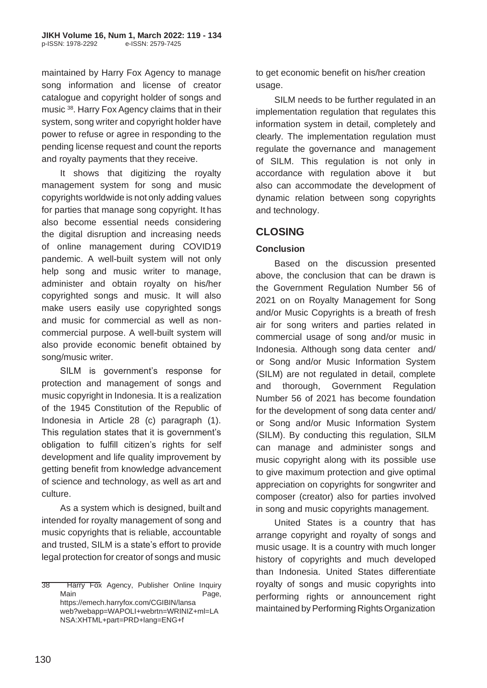maintained by Harry Fox Agency to manage song information and license of creator catalogue and copyright holder of songs and music <sup>38</sup> . Harry Fox Agency claims that in their system, song writer and copyright holder have power to refuse or agree in responding to the pending license request and count the reports and royalty payments that they receive.

It shows that digitizing the royalty management system for song and music copyrights worldwide is not only adding values for parties that manage song copyright. It has also become essential needs considering the digital disruption and increasing needs of online management during COVID19 pandemic. A well-built system will not only help song and music writer to manage, administer and obtain royalty on his/her copyrighted songs and music. It will also make users easily use copyrighted songs and music for commercial as well as noncommercial purpose. A well-built system will also provide economic benefit obtained by song/music writer.

SILM is government's response for protection and management of songs and music copyright in Indonesia. It is a realization of the 1945 Constitution of the Republic of Indonesia in Article 28 (c) paragraph (1). This regulation states that it is government's obligation to fulfill citizen's rights for self development and life quality improvement by getting benefit from knowledge advancement of science and technology, as well as art and culture.

As a system which is designed, built and intended for royalty management of song and music copyrights that is reliable, accountable and trusted, SILM is a state's effort to provide legal protection for creator of songs and music to get economic benefit on his/her creation usage.

SILM needs to be further regulated in an implementation regulation that regulates this information system in detail, completely and clearly. The implementation regulation must regulate the governance and management of SILM. This regulation is not only in accordance with regulation above it but also can accommodate the development of dynamic relation between song copyrights and technology.

# **CLOSING**

## **Conclusion**

Based on the discussion presented above, the conclusion that can be drawn is the Government Regulation Number 56 of 2021 on on Royalty Management for Song and/or Music Copyrights is a breath of fresh air for song writers and parties related in commercial usage of song and/or music in Indonesia. Although song data center and/ or Song and/or Music Information System (SILM) are not regulated in detail, complete and thorough, Government Regulation Number 56 of 2021 has become foundation for the development of song data center and/ or Song and/or Music Information System (SILM). By conducting this regulation, SILM can manage and administer songs and music copyright along with its possible use to give maximum protection and give optimal appreciation on copyrights for songwriter and composer (creator) also for parties involved in song and music copyrights management.

United States is a country that has arrange copyright and royalty of songs and music usage. It is a country with much longer history of copyrights and much developed than Indonesia. United States differentiate royalty of songs and music copyrights into performing rights or announcement right maintained by Performing Rights Organization

<sup>38</sup> Harry Fox Agency, Publisher Online Inquiry Main Page, https://emech.harryfox.com/CGIBIN/lansa web?webapp=WAPOLI+webrtn=WRINIZ+ml=LA NSA:XHTML+part=PRD+lang=ENG+f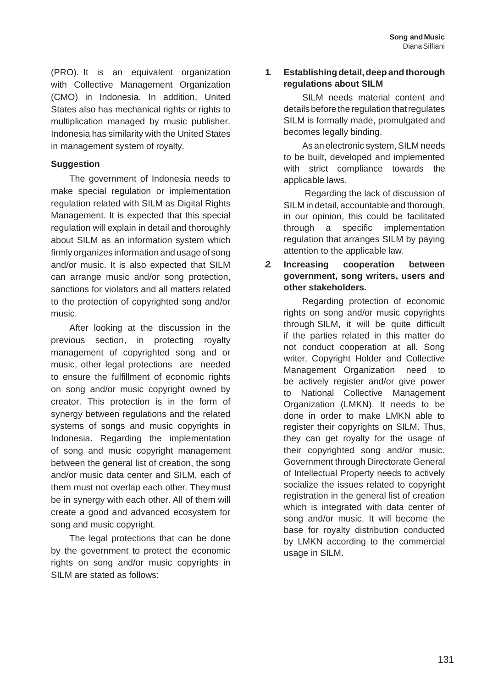(PRO). It is an equivalent organization with Collective Management Organization (CMO) in Indonesia. In addition, United States also has mechanical rights or rights to multiplication managed by music publisher. Indonesia has similarity with the United States in management system of royalty.

### **Suggestion**

The government of Indonesia needs to make special regulation or implementation regulation related with SILM as Digital Rights Management. It is expected that this special regulation will explain in detail and thoroughly about SILM as an information system which firmly organizes information and usage of song and/or music. It is also expected that SILM can arrange music and/or song protection, sanctions for violators and all matters related to the protection of copyrighted song and/or music.

After looking at the discussion in the previous section, in protecting royalty management of copyrighted song and or music, other legal protections are needed to ensure the fulfillment of economic rights on song and/or music copyright owned by creator. This protection is in the form of synergy between regulations and the related systems of songs and music copyrights in Indonesia. Regarding the implementation of song and music copyright management between the general list of creation, the song and/or music data center and SILM, each of them must not overlap each other. Theymust be in synergy with each other. All of them will create a good and advanced ecosystem for song and music copyright.

The legal protections that can be done by the government to protect the economic rights on song and/or music copyrights in SILM are stated as follows:

### **1. Establishing detail,deep and thorough regulations about SILM**

SILM needs material content and details before the regulation that regulates SILM is formally made, promulgated and becomes legally binding.

As an electronic system, SILM needs to be built, developed and implemented with strict compliance towards the applicable laws.

Regarding the lack of discussion of SILM in detail, accountable and thorough, in our opinion, this could be facilitated through a specific implementation regulation that arranges SILM by paying attention to the applicable law.

### *2.* **Increasing cooperation between government, song writers, users and other stakeholders***.*

Regarding protection of economic rights on song and/or music copyrights through SILM, it will be quite difficult if the parties related in this matter do not conduct cooperation at all. Song writer, Copyright Holder and Collective Management Organization need to be actively register and/or give power to National Collective Management Organization (LMKN). It needs to be done in order to make LMKN able to register their copyrights on SILM. Thus, they can get royalty for the usage of their copyrighted song and/or music. Government through Directorate General of Intellectual Property needs to actively socialize the issues related to copyright registration in the general list of creation which is integrated with data center of song and/or music. It will become the base for royalty distribution conducted by LMKN according to the commercial usage in SILM.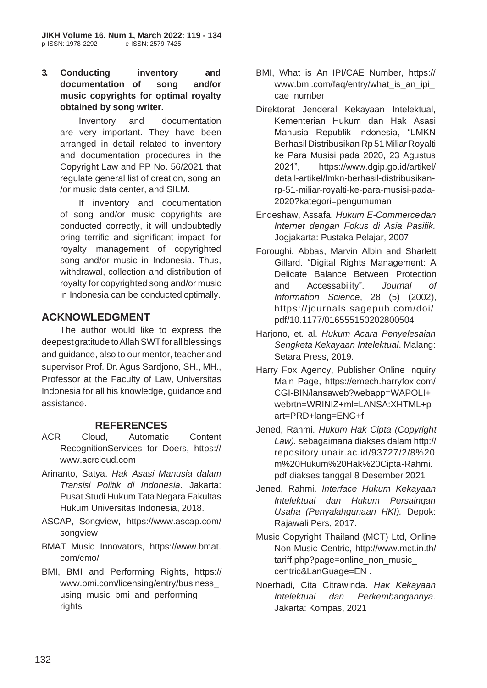**3. Conducting inventory and documentation of song and/or music copyrights for optimal royalty obtained by song writer.**

Inventory and documentation are very important. They have been arranged in detail related to inventory and documentation procedures in the Copyright Law and PP No. 56/2021 that regulate general list of creation, song an /or music data center, and SILM.

If inventory and documentation of song and/or music copyrights are conducted correctly, it will undoubtedly bring terrific and significant impact for royalty management of copyrighted song and/or music in Indonesia. Thus, withdrawal, collection and distribution of royalty for copyrighted song and/or music in Indonesia can be conducted optimally.

# **ACKNOWLEDGMENT**

The author would like to express the deepest gratitude to Allah SWT for all blessings and guidance, also to our mentor, teacher and supervisor Prof. Dr. Agus Sardjono, SH., MH., Professor at the Faculty of Law, Universitas Indonesia for all his knowledge, guidance and assistance.

# **REFERENCES**

- ACR Cloud, Automatic Content RecognitionServices for Doers, https:// [www.acrcloud.com](http://www.acrcloud.com/)
- Arinanto, Satya. *Hak Asasi Manusia dalam Transisi Politik di Indonesia*. Jakarta: Pusat Studi Hukum Tata Negara Fakultas Hukum Universitas Indonesia, 2018.
- ASCAP, Songview, [https://www.ascap.com/](http://www.ascap.com/) songview
- BMAT Music Innovators, https://www.bmat. com/cmo/
- BMI, BMI and Performing Rights, https:// [www.bmi.com/licensing/entry/business\\_](http://www.bmi.com/licensing/entry/business_) using music bmi and performing rights
- BMI, What is An IPI/CAE Number, https:// [www.bmi.com/faq/entry/what\\_is\\_an\\_ipi\\_](http://www.bmi.com/faq/entry/what_is_an_ipi_) cae\_number
- Direktorat Jenderal Kekayaan Intelektual, Kementerian Hukum dan Hak Asasi Manusia Republik Indonesia, "LMKN Berhasil Distribusikan Rp 51 Miliar Royalti ke Para Musisi pada 2020, 23 Agustus 2021", [https://www.dgip.go.id/artikel/](http://www.dgip.go.id/artikel/) detail-artikel/lmkn-berhasil-distribusikanrp-51-miliar-royalti-ke-para-musisi-pada-2020?kategori=pengumuman
- Endeshaw, Assafa. *Hukum E-Commercedan Internet dengan Fokus di Asia Pasifik.*  Jogjakarta: Pustaka Pelajar, 2007.
- Foroughi, Abbas, Marvin Albin and Sharlett Gillard. "Digital Rights Management: A Delicate Balance Between Protection and Accessability". *Journal of Information Science*, 28 (5) (2002), https://journals.sagepub.com/doi/ pdf/10.1177/016555150202800504
- Harjono, et. al. *Hukum Acara Penyelesaian Sengketa Kekayaan Intelektual*. Malang: Setara Press, 2019.
- Harry Fox Agency, Publisher Online Inquiry Main Page, https://emech.harryfox.com/ CGI-BIN/lansaweb?webapp=WAPOLI+ webrtn=WRINIZ+ml=LANSA:XHTML+p art=PRD+lang=ENG+f
- Jened, Rahmi. *Hukum Hak Cipta (Copyright Law).* sebagaimana diakses dalam http:// repository.unair.ac.id/93727/2/8%20 m%20Hukum%20Hak%20Cipta-Rahmi. pdf diakses tanggal 8 Desember 2021
- Jened, Rahmi. *Interface Hukum Kekayaan Intelektual dan Hukum Persaingan Usaha (Penyalahgunaan HKI).* Depok: Rajawali Pers, 2017.
- Music Copyright Thailand (MCT) Ltd, Online Non-Music Centric,<http://www.mct.in.th/> tariff.php?page=online\_non\_music centric&LanGuage=EN .
- Noerhadi, Cita Citrawinda. *Hak Kekayaan Intelektual dan Perkembangannya*. Jakarta: Kompas, 2021